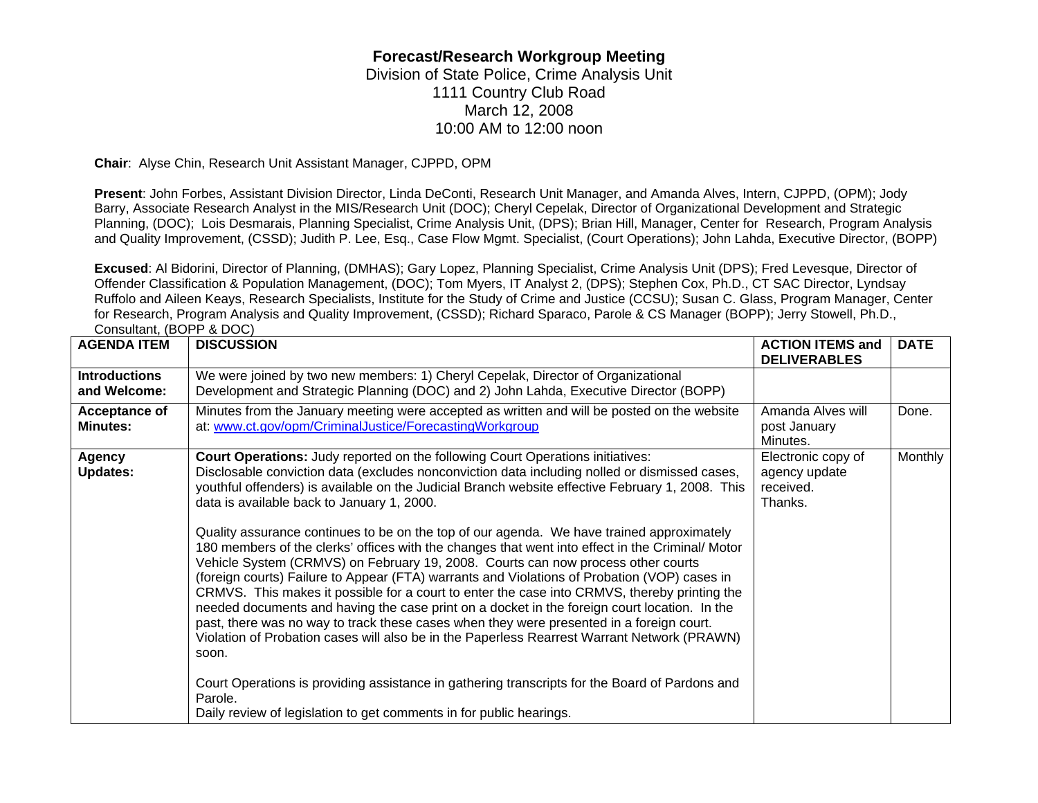## **Forecast/Research Workgroup Meeting**

Division of State Police, Crime Analysis Unit 1111 Country Club Road March 12, 2008 10:00 AM to 12:00 noon

**Chair**: Alyse Chin, Research Unit Assistant Manager, CJPPD, OPM

**Present**: John Forbes, Assistant Division Director, Linda DeConti, Research Unit Manager, and Amanda Alves, Intern, CJPPD, (OPM); Jody Barry, Associate Research Analyst in the MIS/Research Unit (DOC); Cheryl Cepelak, Director of Organizational Development and Strategic Planning, (DOC); Lois Desmarais, Planning Specialist, Crime Analysis Unit, (DPS); Brian Hill, Manager, Center for Research, Program Analysis and Quality Improvement, (CSSD); Judith P. Lee, Esq., Case Flow Mgmt. Specialist, (Court Operations); John Lahda, Executive Director, (BOPP)

**Excused**: Al Bidorini, Director of Planning, (DMHAS); Gary Lopez, Planning Specialist, Crime Analysis Unit (DPS); Fred Levesque, Director of Offender Classification & Population Management, (DOC); Tom Myers, IT Analyst 2, (DPS); Stephen Cox, Ph.D., CT SAC Director, Lyndsay Ruffolo and Aileen Keays, Research Specialists, Institute for the Study of Crime and Justice (CCSU); Susan C. Glass, Program Manager, Center for Research, Program Analysis and Quality Improvement, (CSSD); Richard Sparaco, Parole & CS Manager (BOPP); Jerry Stowell, Ph.D., Consultant, (BOPP & DOC)

| <b>AGENDA ITEM</b>                   | <b>DISCUSSION</b>                                                                                                                                                                                                                                                                                                                                                                                                                                                                                                                                                                                                                                                                                                                                                                                                                                                                                                                                                                                                                                                                                                                                                                                                                                                                                                     | <b>ACTION ITEMS and</b><br><b>DELIVERABLES</b>              | <b>DATE</b>    |
|--------------------------------------|-----------------------------------------------------------------------------------------------------------------------------------------------------------------------------------------------------------------------------------------------------------------------------------------------------------------------------------------------------------------------------------------------------------------------------------------------------------------------------------------------------------------------------------------------------------------------------------------------------------------------------------------------------------------------------------------------------------------------------------------------------------------------------------------------------------------------------------------------------------------------------------------------------------------------------------------------------------------------------------------------------------------------------------------------------------------------------------------------------------------------------------------------------------------------------------------------------------------------------------------------------------------------------------------------------------------------|-------------------------------------------------------------|----------------|
| <b>Introductions</b><br>and Welcome: | We were joined by two new members: 1) Cheryl Cepelak, Director of Organizational<br>Development and Strategic Planning (DOC) and 2) John Lahda, Executive Director (BOPP)                                                                                                                                                                                                                                                                                                                                                                                                                                                                                                                                                                                                                                                                                                                                                                                                                                                                                                                                                                                                                                                                                                                                             |                                                             |                |
| Acceptance of<br><b>Minutes:</b>     | Minutes from the January meeting were accepted as written and will be posted on the website<br>at: www.ct.gov/opm/CriminalJustice/ForecastingWorkgroup                                                                                                                                                                                                                                                                                                                                                                                                                                                                                                                                                                                                                                                                                                                                                                                                                                                                                                                                                                                                                                                                                                                                                                | Amanda Alves will<br>post January<br>Minutes.               | Done.          |
| <b>Agency</b><br><b>Updates:</b>     | <b>Court Operations:</b> Judy reported on the following Court Operations initiatives:<br>Disclosable conviction data (excludes nonconviction data including nolled or dismissed cases,<br>youthful offenders) is available on the Judicial Branch website effective February 1, 2008. This<br>data is available back to January 1, 2000.<br>Quality assurance continues to be on the top of our agenda. We have trained approximately<br>180 members of the clerks' offices with the changes that went into effect in the Criminal/ Motor<br>Vehicle System (CRMVS) on February 19, 2008. Courts can now process other courts<br>(foreign courts) Failure to Appear (FTA) warrants and Violations of Probation (VOP) cases in<br>CRMVS. This makes it possible for a court to enter the case into CRMVS, thereby printing the<br>needed documents and having the case print on a docket in the foreign court location. In the<br>past, there was no way to track these cases when they were presented in a foreign court.<br>Violation of Probation cases will also be in the Paperless Rearrest Warrant Network (PRAWN)<br>soon.<br>Court Operations is providing assistance in gathering transcripts for the Board of Pardons and<br>Parole.<br>Daily review of legislation to get comments in for public hearings. | Electronic copy of<br>agency update<br>received.<br>Thanks. | <b>Monthly</b> |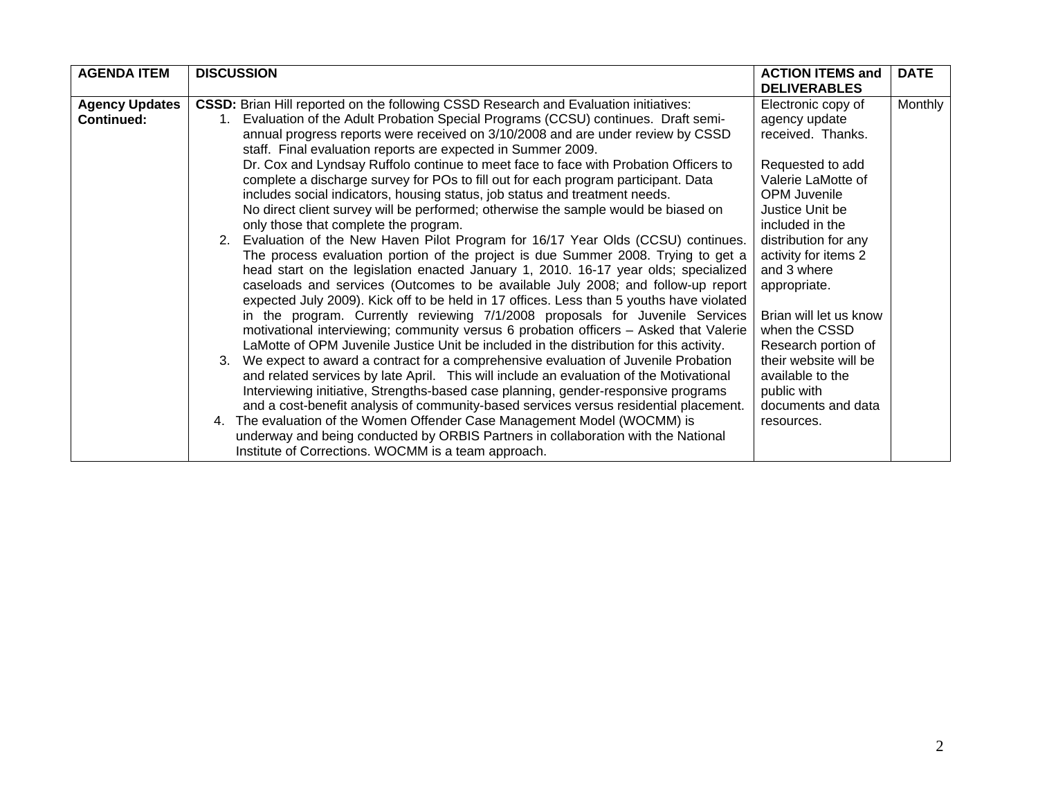| <b>AGENDA ITEM</b>                  | <b>DISCUSSION</b>                                                                                                                                                                                                                                                                                                                                                                                                                                                                                                                                                                                                                                                                                                                                                                                                                                                                                                                                                                                                                                                                                                                                                                                                                                                                                                                                                                                                                                                                                                                                                                                                                                                                                                                                                                                                                                                                                                                                                                                                                                                 | <b>ACTION ITEMS and</b><br><b>DELIVERABLES</b>                                                                                                                                                                                                                                                                                                                                                                   | <b>DATE</b> |
|-------------------------------------|-------------------------------------------------------------------------------------------------------------------------------------------------------------------------------------------------------------------------------------------------------------------------------------------------------------------------------------------------------------------------------------------------------------------------------------------------------------------------------------------------------------------------------------------------------------------------------------------------------------------------------------------------------------------------------------------------------------------------------------------------------------------------------------------------------------------------------------------------------------------------------------------------------------------------------------------------------------------------------------------------------------------------------------------------------------------------------------------------------------------------------------------------------------------------------------------------------------------------------------------------------------------------------------------------------------------------------------------------------------------------------------------------------------------------------------------------------------------------------------------------------------------------------------------------------------------------------------------------------------------------------------------------------------------------------------------------------------------------------------------------------------------------------------------------------------------------------------------------------------------------------------------------------------------------------------------------------------------------------------------------------------------------------------------------------------------|------------------------------------------------------------------------------------------------------------------------------------------------------------------------------------------------------------------------------------------------------------------------------------------------------------------------------------------------------------------------------------------------------------------|-------------|
| <b>Agency Updates</b><br>Continued: | <b>CSSD:</b> Brian Hill reported on the following CSSD Research and Evaluation initiatives:<br>Evaluation of the Adult Probation Special Programs (CCSU) continues. Draft semi-<br>$1_{\cdot}$<br>annual progress reports were received on 3/10/2008 and are under review by CSSD<br>staff. Final evaluation reports are expected in Summer 2009.<br>Dr. Cox and Lyndsay Ruffolo continue to meet face to face with Probation Officers to<br>complete a discharge survey for POs to fill out for each program participant. Data<br>includes social indicators, housing status, job status and treatment needs.<br>No direct client survey will be performed; otherwise the sample would be biased on<br>only those that complete the program.<br>2. Evaluation of the New Haven Pilot Program for 16/17 Year Olds (CCSU) continues.<br>The process evaluation portion of the project is due Summer 2008. Trying to get a<br>head start on the legislation enacted January 1, 2010. 16-17 year olds; specialized<br>caseloads and services (Outcomes to be available July 2008; and follow-up report<br>expected July 2009). Kick off to be held in 17 offices. Less than 5 youths have violated<br>in the program. Currently reviewing 7/1/2008 proposals for Juvenile Services<br>motivational interviewing; community versus 6 probation officers - Asked that Valerie<br>LaMotte of OPM Juvenile Justice Unit be included in the distribution for this activity.<br>We expect to award a contract for a comprehensive evaluation of Juvenile Probation<br>3.<br>and related services by late April. This will include an evaluation of the Motivational<br>Interviewing initiative, Strengths-based case planning, gender-responsive programs<br>and a cost-benefit analysis of community-based services versus residential placement.<br>4. The evaluation of the Women Offender Case Management Model (WOCMM) is<br>underway and being conducted by ORBIS Partners in collaboration with the National<br>Institute of Corrections. WOCMM is a team approach. | Electronic copy of<br>agency update<br>received. Thanks.<br>Requested to add<br>Valerie LaMotte of<br><b>OPM Juvenile</b><br>Justice Unit be<br>included in the<br>distribution for any<br>activity for items 2<br>and 3 where<br>appropriate.<br>Brian will let us know<br>when the CSSD<br>Research portion of<br>their website will be<br>available to the<br>public with<br>documents and data<br>resources. | Monthly     |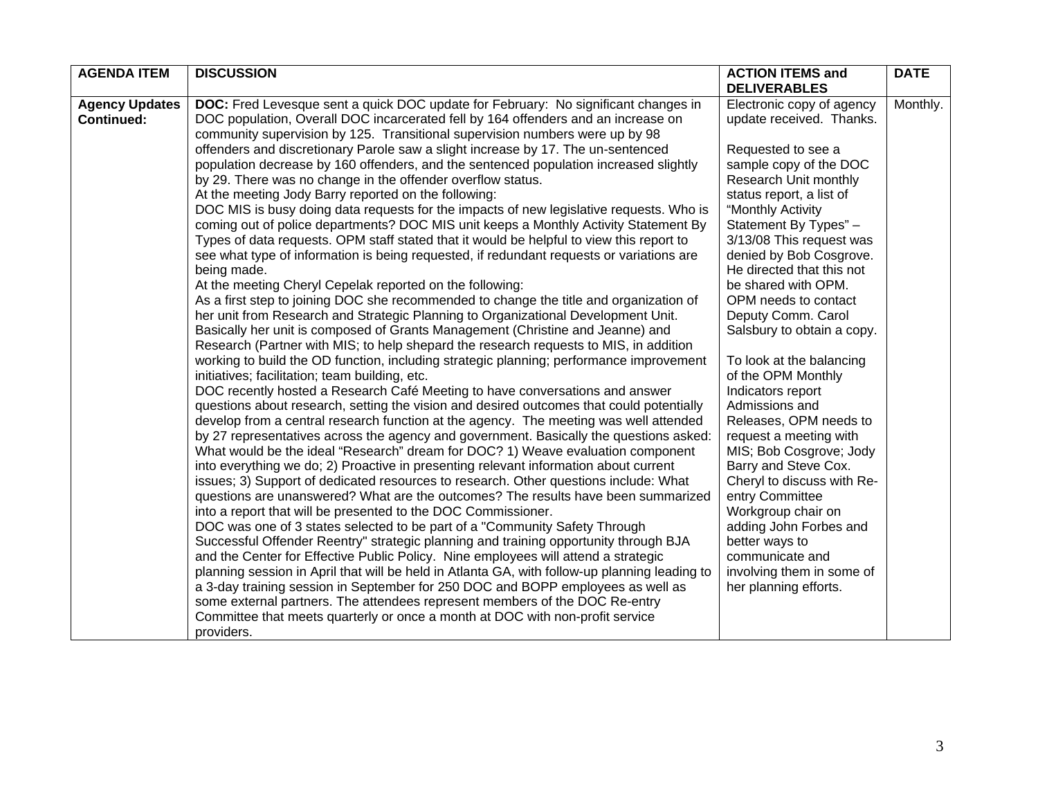| <b>AGENDA ITEM</b>    | <b>DISCUSSION</b>                                                                                                                         | <b>ACTION ITEMS and</b><br><b>DELIVERABLES</b> | <b>DATE</b> |
|-----------------------|-------------------------------------------------------------------------------------------------------------------------------------------|------------------------------------------------|-------------|
| <b>Agency Updates</b> | <b>DOC:</b> Fred Levesque sent a quick DOC update for February: No significant changes in                                                 | Electronic copy of agency                      | Monthly.    |
| <b>Continued:</b>     | DOC population, Overall DOC incarcerated fell by 164 offenders and an increase on                                                         | update received. Thanks.                       |             |
|                       | community supervision by 125. Transitional supervision numbers were up by 98                                                              |                                                |             |
|                       | offenders and discretionary Parole saw a slight increase by 17. The un-sentenced                                                          | Requested to see a                             |             |
|                       | population decrease by 160 offenders, and the sentenced population increased slightly                                                     | sample copy of the DOC                         |             |
|                       | by 29. There was no change in the offender overflow status.                                                                               | Research Unit monthly                          |             |
|                       | At the meeting Jody Barry reported on the following:                                                                                      | status report, a list of                       |             |
|                       | DOC MIS is busy doing data requests for the impacts of new legislative requests. Who is                                                   | "Monthly Activity                              |             |
|                       | coming out of police departments? DOC MIS unit keeps a Monthly Activity Statement By                                                      | Statement By Types" -                          |             |
|                       | Types of data requests. OPM staff stated that it would be helpful to view this report to                                                  | 3/13/08 This request was                       |             |
|                       | see what type of information is being requested, if redundant requests or variations are                                                  | denied by Bob Cosgrove.                        |             |
|                       | being made.                                                                                                                               | He directed that this not                      |             |
|                       | At the meeting Cheryl Cepelak reported on the following:                                                                                  | be shared with OPM.                            |             |
|                       | As a first step to joining DOC she recommended to change the title and organization of                                                    | OPM needs to contact                           |             |
|                       | her unit from Research and Strategic Planning to Organizational Development Unit.                                                         | Deputy Comm. Carol                             |             |
|                       | Basically her unit is composed of Grants Management (Christine and Jeanne) and                                                            | Salsbury to obtain a copy.                     |             |
|                       | Research (Partner with MIS; to help shepard the research requests to MIS, in addition                                                     |                                                |             |
|                       | working to build the OD function, including strategic planning; performance improvement<br>initiatives; facilitation; team building, etc. | To look at the balancing<br>of the OPM Monthly |             |
|                       | DOC recently hosted a Research Café Meeting to have conversations and answer                                                              | Indicators report                              |             |
|                       | questions about research, setting the vision and desired outcomes that could potentially                                                  | Admissions and                                 |             |
|                       | develop from a central research function at the agency. The meeting was well attended                                                     | Releases, OPM needs to                         |             |
|                       | by 27 representatives across the agency and government. Basically the questions asked:                                                    | request a meeting with                         |             |
|                       | What would be the ideal "Research" dream for DOC? 1) Weave evaluation component                                                           | MIS; Bob Cosgrove; Jody                        |             |
|                       | into everything we do; 2) Proactive in presenting relevant information about current                                                      | Barry and Steve Cox.                           |             |
|                       | issues; 3) Support of dedicated resources to research. Other questions include: What                                                      | Cheryl to discuss with Re-                     |             |
|                       | questions are unanswered? What are the outcomes? The results have been summarized                                                         | entry Committee                                |             |
|                       | into a report that will be presented to the DOC Commissioner.                                                                             | Workgroup chair on                             |             |
|                       | DOC was one of 3 states selected to be part of a "Community Safety Through                                                                | adding John Forbes and                         |             |
|                       | Successful Offender Reentry" strategic planning and training opportunity through BJA                                                      | better ways to                                 |             |
|                       | and the Center for Effective Public Policy. Nine employees will attend a strategic                                                        | communicate and                                |             |
|                       | planning session in April that will be held in Atlanta GA, with follow-up planning leading to                                             | involving them in some of                      |             |
|                       | a 3-day training session in September for 250 DOC and BOPP employees as well as                                                           | her planning efforts.                          |             |
|                       | some external partners. The attendees represent members of the DOC Re-entry                                                               |                                                |             |
|                       | Committee that meets quarterly or once a month at DOC with non-profit service                                                             |                                                |             |
|                       | providers.                                                                                                                                |                                                |             |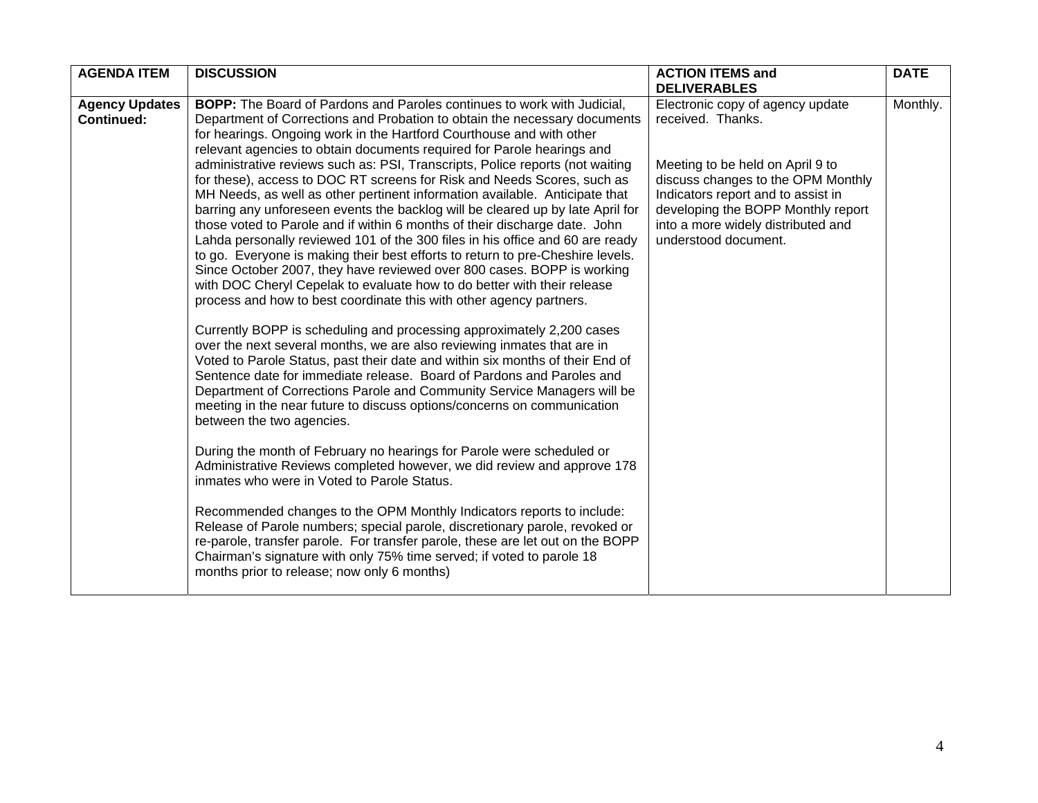| <b>AGENDA ITEM</b>    | <b>DISCUSSION</b>                                                                                                                                | <b>ACTION ITEMS and</b>            | <b>DATE</b> |
|-----------------------|--------------------------------------------------------------------------------------------------------------------------------------------------|------------------------------------|-------------|
|                       |                                                                                                                                                  | <b>DELIVERABLES</b>                |             |
| <b>Agency Updates</b> | <b>BOPP:</b> The Board of Pardons and Paroles continues to work with Judicial,                                                                   | Electronic copy of agency update   | Monthly.    |
| <b>Continued:</b>     | Department of Corrections and Probation to obtain the necessary documents                                                                        | received. Thanks.                  |             |
|                       | for hearings. Ongoing work in the Hartford Courthouse and with other                                                                             |                                    |             |
|                       | relevant agencies to obtain documents required for Parole hearings and                                                                           |                                    |             |
|                       | administrative reviews such as: PSI, Transcripts, Police reports (not waiting                                                                    | Meeting to be held on April 9 to   |             |
|                       | for these), access to DOC RT screens for Risk and Needs Scores, such as                                                                          | discuss changes to the OPM Monthly |             |
|                       | MH Needs, as well as other pertinent information available. Anticipate that                                                                      | Indicators report and to assist in |             |
|                       | barring any unforeseen events the backlog will be cleared up by late April for                                                                   | developing the BOPP Monthly report |             |
|                       | those voted to Parole and if within 6 months of their discharge date. John                                                                       | into a more widely distributed and |             |
|                       | Lahda personally reviewed 101 of the 300 files in his office and 60 are ready                                                                    | understood document.               |             |
|                       | to go. Everyone is making their best efforts to return to pre-Cheshire levels.                                                                   |                                    |             |
|                       | Since October 2007, they have reviewed over 800 cases. BOPP is working                                                                           |                                    |             |
|                       | with DOC Cheryl Cepelak to evaluate how to do better with their release                                                                          |                                    |             |
|                       | process and how to best coordinate this with other agency partners.                                                                              |                                    |             |
|                       |                                                                                                                                                  |                                    |             |
|                       | Currently BOPP is scheduling and processing approximately 2,200 cases<br>over the next several months, we are also reviewing inmates that are in |                                    |             |
|                       | Voted to Parole Status, past their date and within six months of their End of                                                                    |                                    |             |
|                       | Sentence date for immediate release. Board of Pardons and Paroles and                                                                            |                                    |             |
|                       | Department of Corrections Parole and Community Service Managers will be                                                                          |                                    |             |
|                       | meeting in the near future to discuss options/concerns on communication                                                                          |                                    |             |
|                       | between the two agencies.                                                                                                                        |                                    |             |
|                       |                                                                                                                                                  |                                    |             |
|                       | During the month of February no hearings for Parole were scheduled or                                                                            |                                    |             |
|                       | Administrative Reviews completed however, we did review and approve 178                                                                          |                                    |             |
|                       | inmates who were in Voted to Parole Status.                                                                                                      |                                    |             |
|                       |                                                                                                                                                  |                                    |             |
|                       | Recommended changes to the OPM Monthly Indicators reports to include:                                                                            |                                    |             |
|                       | Release of Parole numbers; special parole, discretionary parole, revoked or                                                                      |                                    |             |
|                       | re-parole, transfer parole. For transfer parole, these are let out on the BOPP                                                                   |                                    |             |
|                       | Chairman's signature with only 75% time served; if voted to parole 18                                                                            |                                    |             |
|                       | months prior to release; now only 6 months)                                                                                                      |                                    |             |
|                       |                                                                                                                                                  |                                    |             |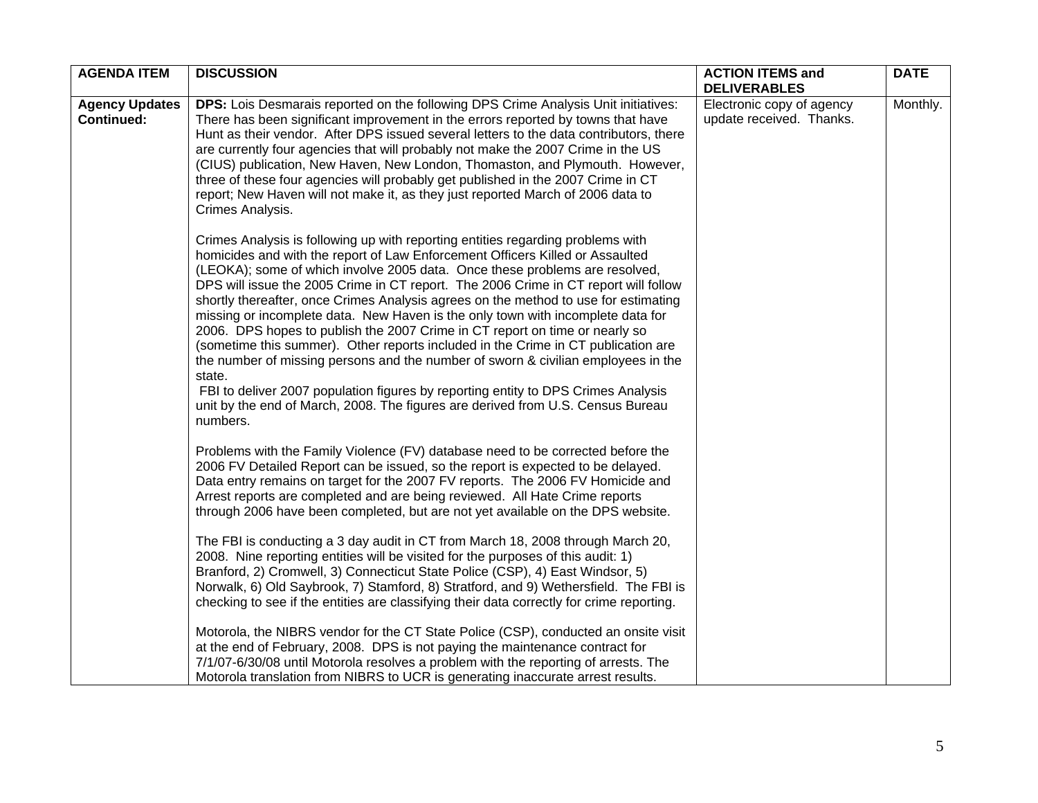| <b>Agency Updates</b><br><b>Continued:</b><br>Crimes Analysis. | <b>DPS:</b> Lois Desmarais reported on the following DPS Crime Analysis Unit initiatives:<br>There has been significant improvement in the errors reported by towns that have<br>Hunt as their vendor. After DPS issued several letters to the data contributors, there<br>are currently four agencies that will probably not make the 2007 Crime in the US<br>(CIUS) publication, New Haven, New London, Thomaston, and Plymouth. However,<br>three of these four agencies will probably get published in the 2007 Crime in CT<br>report; New Haven will not make it, as they just reported March of 2006 data to                                                                                                                                                                                                                                                                                                                                                                                                                                                                                                                                                                                                   | Electronic copy of agency<br>update received. Thanks. | Monthly. |
|----------------------------------------------------------------|----------------------------------------------------------------------------------------------------------------------------------------------------------------------------------------------------------------------------------------------------------------------------------------------------------------------------------------------------------------------------------------------------------------------------------------------------------------------------------------------------------------------------------------------------------------------------------------------------------------------------------------------------------------------------------------------------------------------------------------------------------------------------------------------------------------------------------------------------------------------------------------------------------------------------------------------------------------------------------------------------------------------------------------------------------------------------------------------------------------------------------------------------------------------------------------------------------------------|-------------------------------------------------------|----------|
|                                                                |                                                                                                                                                                                                                                                                                                                                                                                                                                                                                                                                                                                                                                                                                                                                                                                                                                                                                                                                                                                                                                                                                                                                                                                                                      |                                                       |          |
| state.<br>numbers.                                             | Crimes Analysis is following up with reporting entities regarding problems with<br>homicides and with the report of Law Enforcement Officers Killed or Assaulted<br>(LEOKA); some of which involve 2005 data. Once these problems are resolved,<br>DPS will issue the 2005 Crime in CT report. The 2006 Crime in CT report will follow<br>shortly thereafter, once Crimes Analysis agrees on the method to use for estimating<br>missing or incomplete data. New Haven is the only town with incomplete data for<br>2006. DPS hopes to publish the 2007 Crime in CT report on time or nearly so<br>(sometime this summer). Other reports included in the Crime in CT publication are<br>the number of missing persons and the number of sworn & civilian employees in the<br>FBI to deliver 2007 population figures by reporting entity to DPS Crimes Analysis<br>unit by the end of March, 2008. The figures are derived from U.S. Census Bureau                                                                                                                                                                                                                                                                    |                                                       |          |
|                                                                | Problems with the Family Violence (FV) database need to be corrected before the<br>2006 FV Detailed Report can be issued, so the report is expected to be delayed.<br>Data entry remains on target for the 2007 FV reports. The 2006 FV Homicide and<br>Arrest reports are completed and are being reviewed. All Hate Crime reports<br>through 2006 have been completed, but are not yet available on the DPS website.<br>The FBI is conducting a 3 day audit in CT from March 18, 2008 through March 20,<br>2008. Nine reporting entities will be visited for the purposes of this audit: 1)<br>Branford, 2) Cromwell, 3) Connecticut State Police (CSP), 4) East Windsor, 5)<br>Norwalk, 6) Old Saybrook, 7) Stamford, 8) Stratford, and 9) Wethersfield. The FBI is<br>checking to see if the entities are classifying their data correctly for crime reporting.<br>Motorola, the NIBRS vendor for the CT State Police (CSP), conducted an onsite visit<br>at the end of February, 2008. DPS is not paying the maintenance contract for<br>7/1/07-6/30/08 until Motorola resolves a problem with the reporting of arrests. The<br>Motorola translation from NIBRS to UCR is generating inaccurate arrest results. |                                                       |          |